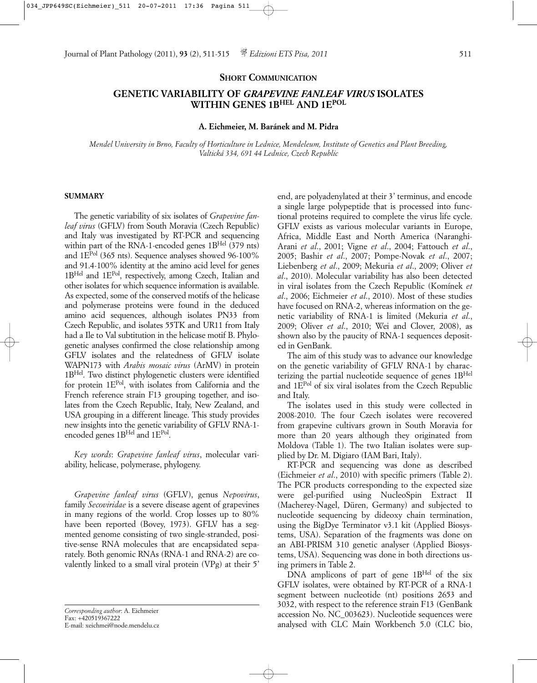#### **SHORT COMMUNICATION**

# **GENETIC VARIABILITY OF** *GRAPEVINE FANLEAF VIRUS* **ISOLATES WITHIN GENES 1BHEL AND 1EPOL**

## **A. Eichmeier, M. Baránek and M. Pidra**

*Mendel University in Brno, Faculty of Horticulture in Lednice, Mendeleum, Institute of Genetics and Plant Breeding, Valtická 334, 691 44 Lednice, Czech Republic*

## **SUMMARY**

The genetic variability of six isolates of *Grapevine fanleaf virus* (GFLV) from South Moravia (Czech Republic) and Italy was investigated by RT-PCR and sequencing within part of the RNA-1-encoded genes 1BHel (379 nts) and  $1E^{Pol}$  (365 nts). Sequence analyses showed 96-100% and 91.4-100% identity at the amino acid level for genes 1BHel and 1EPol, respectively, among Czech, Italian and other isolates for which sequence information is available. As expected, some of the conserved motifs of the helicase and polymerase proteins were found in the deduced amino acid sequences, although isolates PN33 from Czech Republic, and isolates 55TK and UR11 from Italy had a Ile to Val subtitution in the helicase motif B. Phylogenetic analyses confirmed the close relationship among GFLV isolates and the relatedness of GFLV isolate WAPN173 with *Arabis mosaic virus* (ArMV) in protein 1BHel. Two distinct phylogenetic clusters were identified for protein 1EPol, with isolates from California and the French reference strain F13 grouping together, and isolates from the Czech Republic, Italy, New Zealand, and USA grouping in a different lineage. This study provides new insights into the genetic variability of GFLV RNA-1 encoded genes 1BHel and 1EPol.

*Key words*: *Grapevine fanleaf virus*, molecular variability, helicase, polymerase, phylogeny.

*Grapevine fanleaf virus* (GFLV), genus *Nepovirus*, family *Secoviridae* is a severe disease agent of grapevines in many regions of the world. Crop losses up to 80% have been reported (Bovey, 1973). GFLV has a segmented genome consisting of two single-stranded, positive-sense RNA molecules that are encapsidated separately. Both genomic RNAs (RNA-1 and RNA-2) are covalently linked to a small viral protein (VPg) at their 5'

*Corresponding author*: A. Eichmeier Fax: +420519367222 E-mail: xeichmei@node.mendelu.cz

end, are polyadenylated at their 3' terminus, and encode a single large polypeptide that is processed into functional proteins required to complete the virus life cycle. GFLV exists as various molecular variants in Europe, Africa, Middle East and North America (Naranghi-Arani *et al*., 2001; Vigne *et al*., 2004; Fattouch *et al*., 2005; Bashir *et al*., 2007; Pompe-Novak *et al*., 2007; Liebenberg *et al*., 2009; Mekuria *et al*., 2009; Oliver *et al*., 2010). Molecular variability has also been detected in viral isolates from the Czech Republic (Komínek *et al*., 2006; Eichmeier *et al*., 2010). Most of these studies have focused on RNA-2, whereas information on the genetic variability of RNA-1 is limited (Mekuria *et al*., 2009; Oliver *et al*., 2010; Wei and Clover, 2008), as shown also by the paucity of RNA-1 sequences deposited in GenBank.

The aim of this study was to advance our knowledge on the genetic variability of GFLV RNA-1 by characterizing the partial nucleotide sequence of genes 1B<sup>Hel</sup> and  $1E<sup>Pol</sup>$  of six viral isolates from the Czech Republic and Italy.

The isolates used in this study were collected in 2008-2010. The four Czech isolates were recovered from grapevine cultivars grown in South Moravia for more than 20 years although they originated from Moldova (Table 1). The two Italian isolates were supplied by Dr. M. Digiaro (IAM Bari, Italy).

RT-PCR and sequencing was done as described (Eichmeier *et al*., 2010) with specific primers (Table 2). The PCR products corresponding to the expected size were gel-purified using NucleoSpin Extract II (Macherey-Nagel, Düren, Germany) and subjected to nucleotide sequencing by dideoxy chain termination, using the BigDye Terminator v3.1 kit (Applied Biosystems, USA). Separation of the fragments was done on an ABI-PRISM 310 genetic analyser (Applied Biosystems, USA). Sequencing was done in both directions using primers in Table 2.

DNA amplicons of part of gene 1BHel of the six GFLV isolates, were obtained by RT-PCR of a RNA-1 segment between nucleotide (nt) positions 2653 and 3032, with respect to the reference strain F13 (GenBank accession No. NC\_003623). Nucleotide sequences were analysed with CLC Main Workbench 5.0 (CLC bio,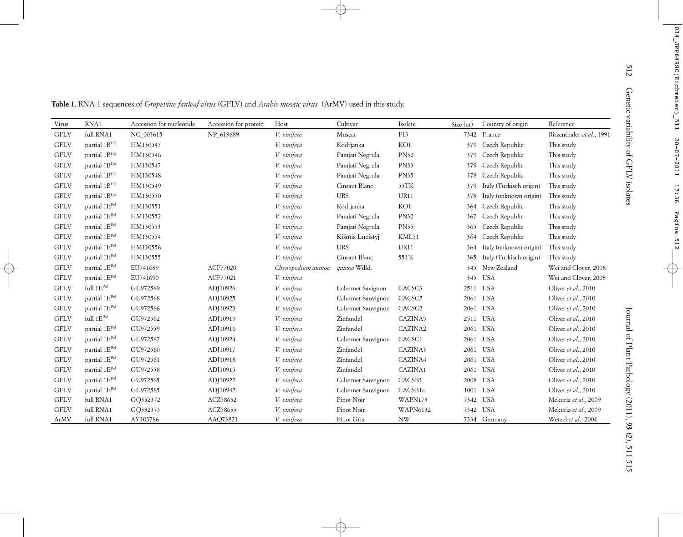| Virus       | RNA1                            | Accession for nucleotide | Accession for protein | Host               | Cultivar           | Isolate         | Size (nt) | Country of origin       | Reference                 |
|-------------|---------------------------------|--------------------------|-----------------------|--------------------|--------------------|-----------------|-----------|-------------------------|---------------------------|
| <b>GFLV</b> | full RNA1                       | NC_003615                | NP 619689             | V. vinifera        | Muscat             | F13             |           | 7342 France             | Ritzenthaler et al., 1991 |
| <b>GFLV</b> | partial 1BHel                   | HM130545                 |                       | V. vinifera        | Kodrjanka          | KO1             |           | 379 Czech Republic      | This study                |
| <b>GFLV</b> | partial 1BHel                   | HM130546                 |                       | V. vinifera        | Pamjati Negrula    | <b>PN32</b>     | 379       | Czech Republic          | This study                |
| <b>GFLV</b> | partial 1BHel                   | HM130547                 |                       | V. vinifera        | Pamjati Negrula    | PN33            | 379       | Czech Republic          | This study                |
| <b>GFLV</b> | partial 1BHel                   | HM130548                 |                       | V. vinifera        | Pamjati Negrula    | PN35            | 378       | Czech Republic          | This study                |
| <b>GFLV</b> | partial 1BHel                   | HM130549                 |                       | V. vinifera        | Cinsaut Blanc      | 55TK            | 379       | Italy (Turkisch origin) | This study                |
| <b>GFLV</b> | partial 1BHel                   | HM130550                 |                       | V. vinifera        | $_{\rm URS}$       | UR11            | 378       | Italy (unknown origin)  | This study                |
| <b>GFLV</b> | partial 1EPol                   | HM130551                 |                       | V. vinifera        | Kodrjanka          | KO1             |           | 364 Czech Republic      | This study                |
| <b>GFLV</b> | partial 1EPol                   | HM130552                 |                       | V. vinifera        | Pamjati Negrula    | <b>PN32</b>     | 367       | Czech Republic          | This study                |
| <b>GFLV</b> | partial 1EPol                   | HM130553                 |                       | V. vinifera        | Pamjati Negrula    | PN35            | 365       | Czech Republic          | This study                |
| <b>GFLV</b> | partial 1E <sup>Pol</sup>       | HM130554                 |                       | V. vinifera        | Kišmiš Lucistyj    | KML51           | 364       | Czech Republic          | This study                |
| <b>GFLV</b> | partial 1EPol                   | HM130556                 |                       | V. vinifera        | <b>URS</b>         | UR11            | 364       | Italy (unknown origin)  | This study                |
| <b>GFLV</b> | partial 1EPol                   | HM130555                 |                       | V. vinifera        | Cinsaut Blanc      | 55TK            | 365       | Italy (Turkisch origin) | This study                |
| <b>GFLV</b> | partial 1E <sup>Pol</sup>       | EU741689                 | ACF77020              | Chenopodium quinoa | quinoa Willd.      |                 |           | 345 New Zealand         | Wei and Clover, 2008      |
| <b>GFLV</b> | partial 1E <sup>Pol</sup>       | EU741690                 | ACF77021              | V. vinifera        |                    |                 |           | 345 USA                 | Wei and Clover, 2008      |
| <b>GFLV</b> | full $1\mathrm{E}^\mathrm{Pol}$ | GU972569                 | ADJ10926              | V. vinifera        | Cabernet Savignon  | CACSC3          |           | 2511 USA                | Oliver et al., 2010       |
| <b>GFLV</b> | partial 1EPol                   | GU972568                 | ADJ10925              | V. vinifera        | Cabernet Sauvignon | CACSC2          | 2061      | <b>USA</b>              | Oliver et al., 2010       |
| <b>GFLV</b> | partial 1EPol                   | GU972566                 | ADJ10923              | V. vinifera        | Cabernet Sauvignon | CACSC2          |           | 2061 USA                | Oliver et al., 2010       |
| <b>GFLV</b> | full $1\mathrm{E}^\mathrm{Pol}$ | GU972562                 | ADJ10919              | V. vinifera        | Zinfandel          | CAZINA5         |           | 2511 USA                | Oliver et al., 2010       |
| <b>GFLV</b> | partial 1EPol                   | GU972559                 | ADJ10916              | V. vinifera        | Zinfandel          | CAZINA2         |           | 2061 USA                | Oliver et al., 2010       |
| <b>GFLV</b> | partial 1EPol                   | GU972567                 | ADJ10924              | V. vinifera        | Cabernet Sauvignon | CACSC1          |           | 2061 USA                | Oliver et al., 2010       |
| <b>GFLV</b> | partial 1E <sup>Pol</sup>       | GU972560                 | ADJ10917              | V. vinifera        | Zinfandel          | CAZINA3         |           | 2061 USA                | Oliver et al., 2010       |
| <b>GFLV</b> | partial 1E <sup>Pol</sup>       | GU972561                 | ADJ10918              | V. vinifera        | Zinfandel          | CAZINA4         |           | 2061 USA                | Oliver et al., 2010       |
| <b>GFLV</b> | partial 1E <sup>Pol</sup>       | GU972558                 | ADJ10915              | V. vinifera        | Zinfandel          | CAZINA1         |           | 2061 USA                | Oliver et al., 2010       |
| <b>GFLV</b> | partial 1E <sup>Pol</sup>       | GU972565                 | ADJ10922              | V. vinifera        | Cabernet Sauvignon | CACSB3          |           | 2008 USA                | Oliver et al., 2010       |
| <b>GFLV</b> | partial 1EPol                   | GU972585                 | ADJ10942              | V. vinifera        | Cabernet Sauvignon | CACSB1a         |           | 1001 USA                | Oliver et al., 2010       |
| <b>GFLV</b> | full RNA1                       | GQ332372                 | ACZ58632              | V. vinifera        | Pinot Noir         | WAPN173         |           | 7342 USA                | Mekuria et al., 2009      |
| <b>GFLV</b> | full RNA1                       | GQ332373                 | ACZ58633              | V. vinifera        | Pinot Noir         | <b>WAPN6132</b> |           | 7342 USA                | Mekuria et al., 2009      |
| ArMV        | full RNA1                       | AY303786                 | AAQ73821              | V. vinifera        | Pinot Gris         | <b>NW</b>       |           | 7334 Germany            | Wetzel et al., 2004       |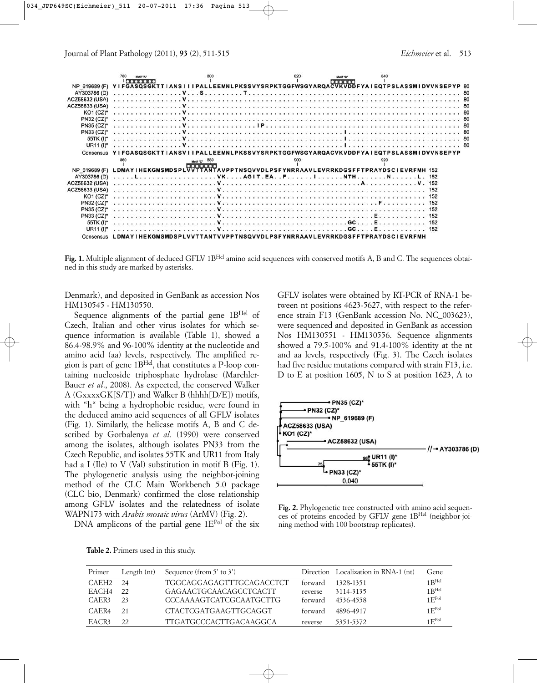

Fig. 1. Multiple alignment of deduced GFLV 1B<sup>Hel</sup> amino acid sequences with conserved motifs A, B and C. The sequences obtained in this study are marked by asterisks.

Denmark), and deposited in GenBank as accession Nos HM130545 - HM130550.

Sequence alignments of the partial gene  $1B<sup>Hel</sup>$  of Czech, Italian and other virus isolates for which sequence information is available (Table 1), showed a 86.4-98.9% and 96-100% identity at the nucleotide and amino acid (aa) levels, respectively. The amplified region is part of gene 1BHel, that constitutes a P-loop containing nucleoside triphosphate hydrolase (Marchler-Bauer *et al*., 2008). As expected, the conserved Walker A (GxxxxGK[S/T]) and Walker B (hhhh[D/E]) motifs, with "h" being a hydrophobic residue, were found in the deduced amino acid sequences of all GFLV isolates (Fig. 1). Similarly, the helicase motifs A, B and C described by Gorbalenya *et al*. (1990) were conserved among the isolates, although isolates PN33 from the Czech Republic, and isolates 55TK and UR11 from Italy had a I (Ile) to V (Val) substitution in motif B (Fig. 1). The phylogenetic analysis using the neighbor-joining method of the CLC Main Workbench 5.0 package (CLC bio, Denmark) confirmed the close relationship among GFLV isolates and the relatedness of isolate WAPN173 with *Arabis mosaic virus* (ArMV) (Fig. 2).

DNA amplicons of the partial gene 1E<sup>Pol</sup> of the six

GFLV isolates were obtained by RT-PCR of RNA-1 between nt positions 4623-5627, with respect to the reference strain F13 (GenBank accession No. NC\_003623), were sequenced and deposited in GenBank as accession Nos HM130551 - HM130556. Sequence alignments showed a 79.5-100% and 91.4-100% identity at the nt and aa levels, respectively (Fig. 3). The Czech isolates had five residue mutations compared with strain F13, i.e. D to E at position 1605, N to S at position 1623, A to



**Fig. 2.** Phylogenetic tree constructed with amino acid sequences of proteins encoded by GFLV gene 1BHel (neighbor-joining method with 100 bootstrap replicates).

| Primer | Length $(nt)$ | Sequence (from $5'$ to $3'$ ) |         | Direction Localization in RNA-1 (nt) | Gene              |
|--------|---------------|-------------------------------|---------|--------------------------------------|-------------------|
| CAEH2  | -24           | TGGCAGGAGAGTTTGCAGACCTCT      | forward | 1328-1351                            | $1R^{Hel}$        |
| EACH4  | 22            | GAGAACTGCAACAGCCTCACTT        | reverse | 3114-3135                            | $1R^{Hel}$        |
| CAER3  | 23            | CCCAAAAGTCATCGCAATGCTTG       | torward | 4536-4558                            | 1F <sub>pol</sub> |
| CAER4  | 21            | CTACTCGATGAAGTTGCAGGT         | forward | 4896-4917                            | 1F <sub>Pol</sub> |
| EACR3  | 22            | TTGATGCCCACTTGACAAGGCA        | reverse | 5351-5372                            | 1F <sup>Pol</sup> |

**Table 2.** Primers used in this study.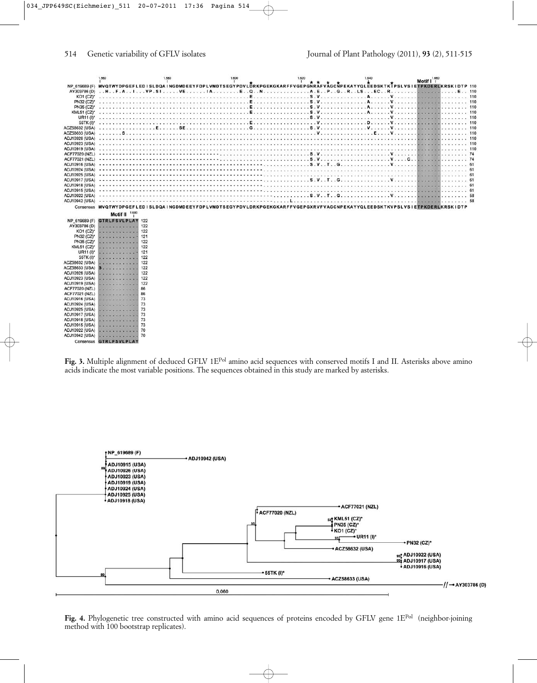|                       | 1.560                                   | 1.580 | 1,600                                                                                                                    | 1.620<br>T    | 1.640                 | 1.660<br>Motif I                                                                                                                 |
|-----------------------|-----------------------------------------|-------|--------------------------------------------------------------------------------------------------------------------------|---------------|-----------------------|----------------------------------------------------------------------------------------------------------------------------------|
|                       |                                         |       |                                                                                                                          |               |                       | NP 619689 (F) MVQTWYDPGEFLEDISLDQAINGDMDEEYFDPLVMDTSEGYPDVLDRKPGEKGKARFFVGEPGNRÄFVÄGCNPEKAYYQLEEDSKTKTPSLVSIETPKDERLKRSKIDTP 110 |
| AY303786 (D)          |                                         |       | HF.AIVP.SIVEIAEQNA.EPGRLS                                                                                                |               | EC.<br>$\overline{R}$ |                                                                                                                                  |
| <b>KO1 (CZ)*</b>      |                                         |       | . The second contract of the contract of the second contract of $\mathbb E$                                              | . <b>S. V</b> |                       |                                                                                                                                  |
| PN32 (CZ)*            |                                         |       |                                                                                                                          |               | .                     | .                                                                                                                                |
| PN35 (CZ)*            |                                         |       |                                                                                                                          |               | . <b>A</b> .          |                                                                                                                                  |
| <b>KML51 (CZ)*</b>    |                                         |       |                                                                                                                          |               |                       |                                                                                                                                  |
| UR11 (I)*             |                                         |       |                                                                                                                          |               |                       |                                                                                                                                  |
| 55TK (I)*             |                                         |       |                                                                                                                          |               |                       |                                                                                                                                  |
| ACZ58632 (USA)        |                                         |       |                                                                                                                          |               |                       |                                                                                                                                  |
| ACZ58633 (USA)        |                                         |       |                                                                                                                          |               |                       |                                                                                                                                  |
| ADJ10926 (USA)        |                                         |       |                                                                                                                          |               |                       |                                                                                                                                  |
| ADJ10923 (USA)        |                                         |       |                                                                                                                          |               |                       |                                                                                                                                  |
| <b>ADJ10919 (USA)</b> |                                         |       |                                                                                                                          |               |                       |                                                                                                                                  |
| <b>ACF77020 (NZL)</b> |                                         |       |                                                                                                                          |               |                       |                                                                                                                                  |
| ACF77021 (NZL)        |                                         |       |                                                                                                                          |               |                       |                                                                                                                                  |
| <b>ADJ10916 (USA)</b> |                                         |       |                                                                                                                          |               |                       |                                                                                                                                  |
| ADJ10924 (USA)        |                                         |       |                                                                                                                          |               |                       |                                                                                                                                  |
| ADJ10925 (USA)        |                                         |       |                                                                                                                          |               |                       |                                                                                                                                  |
| ADJ10917 (USA)        |                                         |       |                                                                                                                          |               |                       |                                                                                                                                  |
| <b>ADJ10918 (USA)</b> |                                         |       |                                                                                                                          |               |                       |                                                                                                                                  |
| <b>ADJ10915 (USA)</b> |                                         |       |                                                                                                                          |               |                       |                                                                                                                                  |
| ADJ10922 (USA)        |                                         |       |                                                                                                                          |               |                       |                                                                                                                                  |
| ADJ10942 (USA)        |                                         |       | USSUS USSUS USSUS USSUS USSUS USSUS USSUS USSUS USSUS USSUS                                                              |               |                       |                                                                                                                                  |
|                       |                                         |       | Consensus MVQTWYDPGEFLEDISLDQAINGDMDEEYFDPLVMDTSEGYPDVLDRKPGEKGKARFFVGEPGXRVFVAGCNPEKAYYQLEEDSKTKVPSLVSIETPKDERLKRSKIDTP |               |                       |                                                                                                                                  |
|                       |                                         |       |                                                                                                                          |               |                       |                                                                                                                                  |
|                       | Motif II $^{1.680}$                     |       |                                                                                                                          |               |                       |                                                                                                                                  |
| NP 619689 (F)         | <b>GTRLFSVLPLAY 122</b>                 |       |                                                                                                                          |               |                       |                                                                                                                                  |
| AY303786 (D)          | <b>STATE AT AT AT AT</b>                | 122   |                                                                                                                          |               |                       |                                                                                                                                  |
| KO1 (CZ)*             | .                                       | 122   |                                                                                                                          |               |                       |                                                                                                                                  |
| PN32 (CZ)*            | .                                       | 121   |                                                                                                                          |               |                       |                                                                                                                                  |
| PN35 (CZ)*            | <b>Construction of the Construction</b> | 122   |                                                                                                                          |               |                       |                                                                                                                                  |
| <b>KML51 (CZ)*</b>    |                                         | 122   |                                                                                                                          |               |                       |                                                                                                                                  |
| UR11 (I)*             | .                                       | 121   |                                                                                                                          |               |                       |                                                                                                                                  |
| 55TK (I)*             | .                                       | 122   |                                                                                                                          |               |                       |                                                                                                                                  |
| ACZ58632 (USA)        | .                                       | 122   |                                                                                                                          |               |                       |                                                                                                                                  |
| ACZ58633 (USA)        | <b>S</b> .                              | 122   |                                                                                                                          |               |                       |                                                                                                                                  |
| ADJ10926 (USA)        | and a series of the and                 | 122   |                                                                                                                          |               |                       |                                                                                                                                  |
| ADJ10923 (USA)        | .                                       | 122   |                                                                                                                          |               |                       |                                                                                                                                  |
| ADJ10919 (USA)        | and and and and and and                 | 122   |                                                                                                                          |               |                       |                                                                                                                                  |
| ACF77020 (NZL)        | an alternative and response             | 86    |                                                                                                                          |               |                       |                                                                                                                                  |
| ACF77021 (NZL)        | and a series and a series and           | 86    |                                                                                                                          |               |                       |                                                                                                                                  |
| ADJ10916 (USA)        | <b>Contract Contract Contract</b>       | 73    |                                                                                                                          |               |                       |                                                                                                                                  |
| ADJ10924 (USA)        |                                         | 73    |                                                                                                                          |               |                       |                                                                                                                                  |
| ADJ10925 (USA)        | <b>CONTINUES IN A STATE</b>             | 73    |                                                                                                                          |               |                       |                                                                                                                                  |
| <b>ADJ10917 (USA)</b> | .                                       | 73    |                                                                                                                          |               |                       |                                                                                                                                  |
| <b>ADJ10918 (USA)</b> | <b>Market Bronzen Market Street</b>     | 73    |                                                                                                                          |               |                       |                                                                                                                                  |
| ADJ10915 (USA)        | <u>La contrata del ca</u>               | 73    |                                                                                                                          |               |                       |                                                                                                                                  |
| ADJ10922 (USA)        | .                                       | 70    |                                                                                                                          |               |                       |                                                                                                                                  |
| ADJ10942 (USA)        | .                                       | 70    |                                                                                                                          |               |                       |                                                                                                                                  |
|                       | Consensus GTRLFSVLPLAY                  |       |                                                                                                                          |               |                       |                                                                                                                                  |

**Fig. 3.** Multiple alignment of deduced GFLV 1EPol amino acid sequences with conserved motifs I and II. Asterisks above amino acids indicate the most variable positions. The sequences obtained in this study are marked by asterisks.



Fig. 4. Phylogenetic tree constructed with amino acid sequences of proteins encoded by GFLV gene 1E<sup>Pol</sup> (neighbor-joining method with 100 bootstrap replicates).